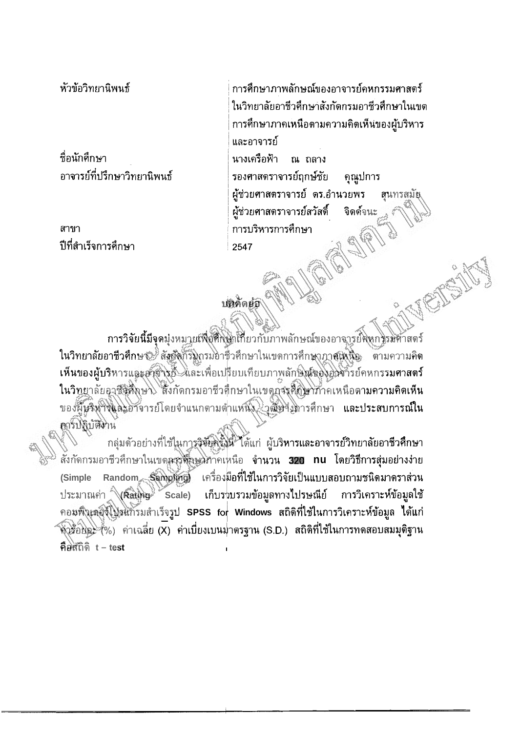หัวข้อวิทยานิพนธ์

ชื่อนักศึกษา อาจารย์ที่ปรึกษาวิทยานิพนธ์

สาขา ปีที่สำเร็จการศึกษา

การศึกษาภาพลักษณ์ของอาจารย์ดหกรรมศาสตร์ ในวิทยาลัยอาชีวศึกษาสังกัดกรมอาชีวศึกษาในเขต การศึกษาภาคเหนือดามความคิดเห็นของผู้บริหาร และอาจารย์ นางเครือฟ้า ณ ถลาง รองศาสตราจารย์ฤกษ์ชัย คุณูปการ ผู้ช่วยศาสตราจารย์ ตร.อำนวยพร สุนทรสมัย ผู้ช่วยศาสตราจารย์สวัสดิ์ จิดด์จนะ การบริหารการศึกษา 2547

## บทคิดย่อ

การวิจัยนี้มีจุดมุ่งหมายเพื่อศึกษาเกี่ยวกับภาพลักษณ์ของอาจารย์จุงกรรมศาสตร์ ในวิทยาลัยอาชีวศึกษา สัมชังกรมกรมอาชีวศึกษาในเขตการศึกษาภาศเหนือ ตามความคิด เห็นของผู้บริหารและอาชารย์ และเพื่อเปรียบเทียบภาพลักษ์สุของอิวจารย์คหกรรม**ศาสตร์** ในวิทยาลัยอาชีสติ์งาษ สิ่งกัดกรมอาชีวศึกษาในเขตกุจรุศึกษาทำคเหนือตามความคิดเห็น ของผู้บริหารและอาจารย์โดยจำแนกตามต่ำแหน่ง อิสเซามการศึกษา และประสบการณ์ใน อาร์ปฏิบัติท่าน

กลุ่มด้วอย่างที่ใช้ในการวิจัยครั้งนี้ ได้แก่ ผู้บริหารและอาจารย์วิทยาลัยอาชีวศึกษา สั่งกัดกรมอาชีวศึกษาในเขตกรุสั<del>่ลม</del>มากเหนือ จำ**นวน 320 nu โดยวิธีการสุ่มอย่างง่าย** (Simple Random Sampling) เครื่องมือที่ใช้ในการวิจัยเป็นแบบสอบถามชนิดมาตราส่วน ประมาณค่า (Rating Scale) เก็บรวบรวมข้อมูลทางไปรษณีย์ ่ การวิเครา**ะห์ข้อมู**ลใช้ คอมพิวเตอร์โปรแกรมสำเร็จรูป SPSS for Windows สถิติที่ใช้ในการวิเคราะห์ข้อมูล ได้แก่ ี ที่วร้อยละ (%) ค่าเฉลี่ย (X) ค่าเบี่ยงเบนม่าตรฐาน (S.D.) สถิติที่ใช้ในการทดสอบสมมุติฐาน คือสถิติ t – test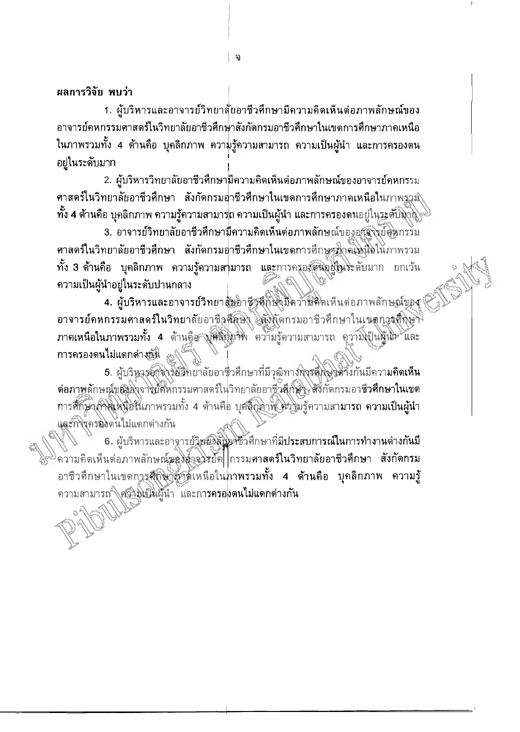1. ผู้บริหารและอาจารย์วิทยาสั่ยอาชีวศึกษามีความคิดเห็นต่อภาพลักษณ์ของ อาจารย์คหกรรมศาสตร์ในวิทยาลัยอาชีวศึกษาสังกัดกรมอาชีวศึกษาในเขดการศึกษาภาคเหนือ ในภาพรวมทั้ง 4 ด้านคือ บุคลิกภาพ ความรู้ความสามารถ ความเป็นผู้นำ และการครองดน อยู่ในระดับมาท

2. ผู้บริหารวิทยาลัยอาชีวศึกษามีความคิดเห็นต่อภาพลักษณ์ของอาจารย์คหกรรม ี ศาสตร์ในวิทยาลัยอาชีวศึกษา สังกัดกรมอาชีวศึกษาในเขดการศึกษาภาคเหนือในภาพรวม∖ิ <sub>.</sub> ทั้ง 4 ด้านคือ บุคลิกภาพ ความรู้ความสามาร<mark>ถ ความเป็นผู้นำ และการครองดน</mark>อยู่ในระตับมาอิ⊯

3. อาจารย์วิทยาลัยอาชีวศึกษามีความคิดเห็นต่อภาพลักษณ์ของอุวังิจังย์คิดกรรม ี่ ศาสตร์ในวิทยาลัยอาชีวศึกษา สังกัดกรมอ่าชีวศึกษาในเขตการศึกษาทำคุโหนือในภาพรวม ทั้ง 3 ด้านคือ บุคลิกภาพ ความรู้ความสามารถ และการครองคนอยู่ในระดับมาก ยกเว้น ความเป็นผู้นำอยู่ในระดับปานกลาง

4. ผู้บริหารและอาจารย์วิทยาสันอาชีวดีกษามีความคิดเห็นด่อภาพลักษณ์ของ อาจารย์คหกรรมศาสตร์ในวิทยาลัยอาชีลส์สมิง โล่งกัดกรมอาชีวศึกษาในเนตกรรดีกษา ภาคเหนือในภาพรวมทั้ง 4 ด้านคือ บุคลิกทาพ ความรู้ความสามารถ ความเป็นผู้นำ และ การครองดนไม่แตกต่างก็นิ

5. ผู้บริหารอักจารย์วิทยาลัยอาชื่วศึกษาที่มีวุฒิทางกิจรส์กิจปิดวิ่งกันมีความคิดเห็น ด่อภาพลักษณ์ของอาจย์ศัหกรรมศาสตร์ในวิทยาลัยอาชีวส์กับวิ่ง สี่งี้กัดกรมอาชีวศึกษาในเขต การศึกษากลิเพนิฮในภาพรวมทั้ง 4 ด้านคือ บุคลิกทิ่งให้ ความรู้ความสามารถ ความเป็นผู้นำ และกิจิจกรองต้นไม่แตกด่างกัน

6. ผู้บริหารและอาจารย์วิชย์ลิลินิคชั่วศึกษาที่มีประสบการณ์ในการทำงานด่างกันมี ความคิดเห็นต่อภาพลักษณ์มองอัจจริย์ค| กรรมศาสตร์ในวิทยาลัยอาชีวศึกษา สังกัดกรม อาชีวศึกษาในเขตการสุกิษาศักเหนือในภาพรวมทั้ง 4 ต้านคือ บุคลิกภาพ ความรู้ ความสามารถ (ครัวมิเป็นผู้นำ และการครอ<mark>งตนไม่แตกต่างกัน</mark>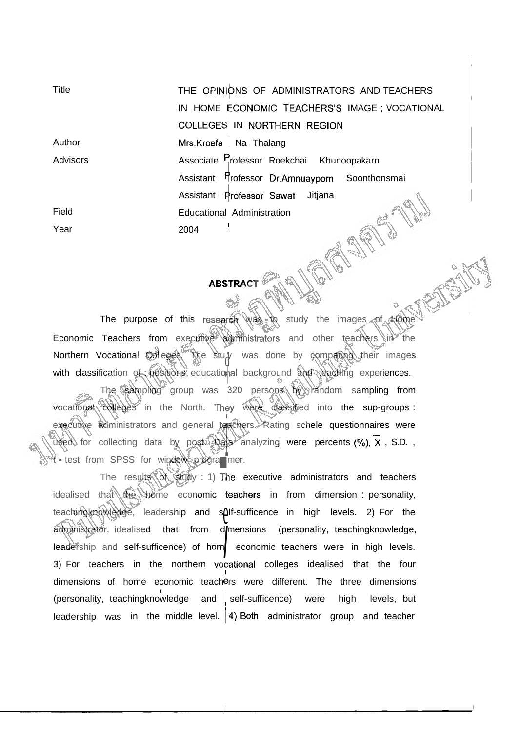**Title** THE OPINIONS OF ADMINISTRATORS AND TEACHERS IN HOME ECONOMIC TEACHERS'S IMAGE : VOCATIONAL COLLEGES IN NORTHERN REGION Author Mrs.Kroefa Na Thalang Mrs.Kroefa Na Thalang<br>Associate Professor Roekchai Khunoopakarn<br>Assistant Professor Dr.Amnuayporn Soonthonsmai Advisors Associate <sup>r</sup>rofessor Roekchai Khunoopakarn Assistant Professor Sawat Jitjana Field Educational Administration AST Year 2004

## ABSTRACT

The purpose of this research was to study the images of  $A_0$ Economic Teachers from executive administrators and other teachers in the Northern Vocational Colleges. The stu $y$  was done by comparing their images with classification of positions, educational background and teaching experiences.

The sampling group was 320 persons by random sampling from vocational colleges in the North. They were classified into the sup-groups : executive administrators and general teachers. Rating schele questionnaires were<br>  $\frac{1}{2}$  and  $\frac{1}{2}$  analyzing were percents (%),  $\overline{X}$ , S.D.,<br>  $\overline{X}$ , S.D.,<br>  $\overline{X}$  and  $\overline{X}$ , S.D.,<br>
The results of study : used for collecting data by post. Dala analyzing were percents (%),  $\times$  , S.D. , t - test from SPSS for window programmer.

The results of study : 1) The executive administrators and teachers idealised that the bome economic teachers in from dimension : personality, teachingknowledge, leadership and solf-sufficence in high levels. 2) For the administrator, idealised that from d mensions (personality, teachingknowledge, leadership and self-sufficence) of  $hom$  economic teachers were in high levels. 3) For teachers in the northern vocational colleges idealised that the four I dimensions of home economic teachers were different. The three dimensions (personality, teachingknowledge and self-sufficence) were high levels, but leadership was in the middle level.  $|4\rangle$  Both administrator group and teacher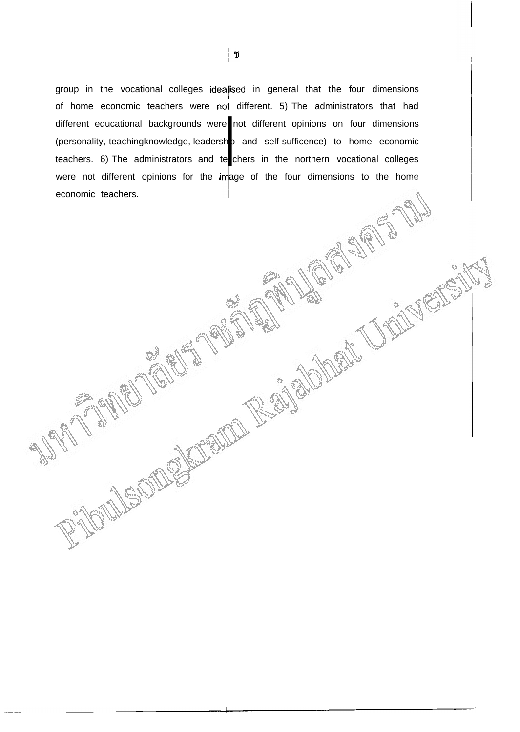group in the vocational colleges idealised in general that the four dimensions of home economic teachers were not different. 5) The administrators that had different educational backgrounds were not different opinions on four dimensions (personality, teachingknowledge, leadersh p and self-sufficence) to home economic teachers. 6) The administrators and te chers in the northern vocational colleges economic teachers. hp a<br>e<mark>l</mark>che were not different opinions for the image of the four dimensions to the home